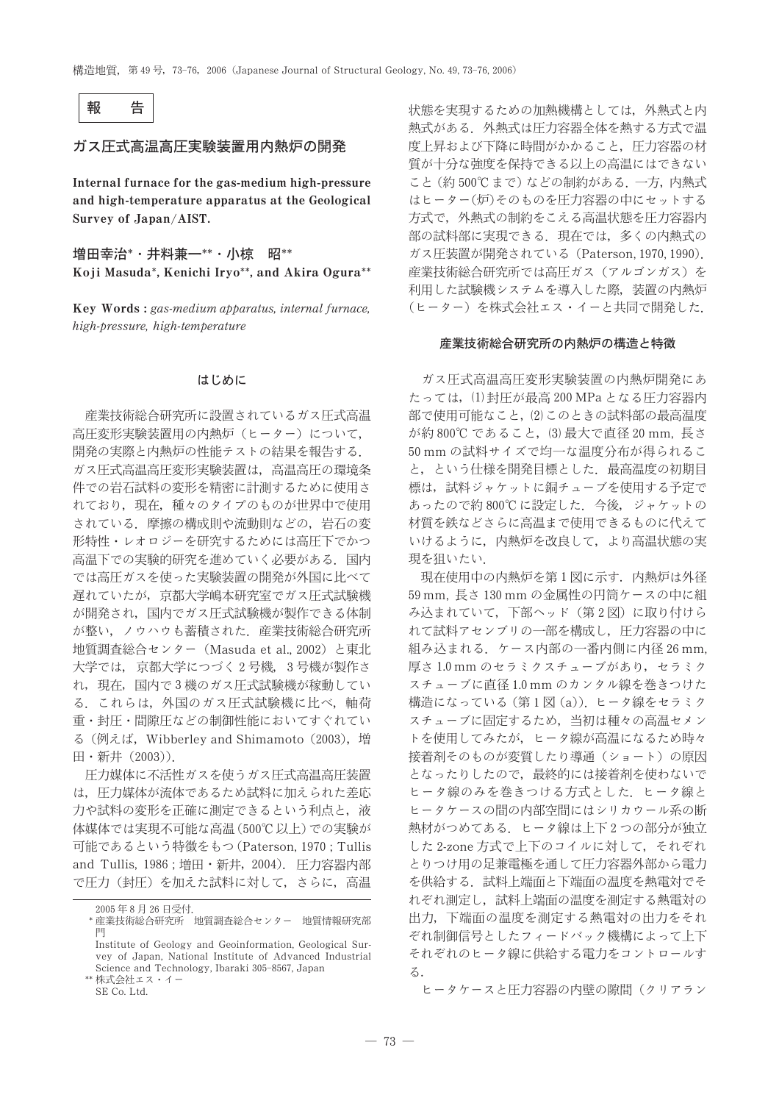

# ガス圧式高温高圧実験装置用内熱炉の開発

Internal furnace for the gas-medium high-pressure and high-temperature apparatus at the Geological Survey of Japan/AIST.

増田幸治\*·井料兼一\*\*·小椋 昭\*\* Koji Masuda\*, Kenichi Iryo\*\*, and Akira Ogura\*\*

Key Words: gas-medium apparatus, internal furnace, high-pressure, high-temperature

# はじめに

産業技術総合研究所に設置されているガス圧式高温 高圧変形実験装置用の内熱炉(ヒーター)について、 開発の実際と内熱炉の性能テストの結果を報告する. ガス圧式高温高圧変形実験装置は、高温高圧の環境条 件での岩石試料の変形を精密に計測するために使用さ れており、現在、種々のタイプのものが世界中で使用 されている。摩擦の構成則や流動則などの、岩石の変 形特性・レオロジーを研究するためには高圧下でかつ 高温下での実験的研究を進めていく必要がある。 国内 では高圧ガスを使った実験装置の開発が外国に比べて 遅れていたが、京都大学嶋本研究室でガス圧式試験機 が開発され,国内でガス圧式試験機が製作できる体制 が整い、ノウハウも蓄積された. 産業技術総合研究所 地質調査総合センター (Masuda et al., 2002) と東北 大学では、京都大学につづく2号機、3号機が製作さ れ、現在、国内で3機のガス圧式試験機が稼動してい る. これらは、外国のガス圧式試験機に比べ、軸荷 重・封圧・間隙圧などの制御性能においてすぐれてい る (例えば, Wibberley and Shimamoto (2003), 増 田·新井 (2003)).

圧力媒体に不活性ガスを使うガス圧式高温高圧装置 は、圧力媒体が流体であるため試料に加えられた差応 力や試料の変形を正確に測定できるという利点と、液 体媒体では実現不可能な高温(500℃以上)での実験が 可能であるという特徴をもつ (Paterson, 1970; Tullis and Tullis, 1986; 増田 · 新井, 2004). 圧力容器内部 で圧力(封圧)を加えた試料に対して、さらに、高温 状態を実現するための加熱機構としては、外熱式と内 熱式がある。外熱式は圧力容器全体を熱する方式で温 度上昇および下降に時間がかかること、圧力容器の材 質が十分な強度を保持できる以上の高温にはできない こと (約500℃まで) などの制約がある. 一方, 内熱式 はヒーター(炉)そのものを圧力容器の中にセットする 方式で、外熱式の制約をこえる高温状態を圧力容器内 部の試料部に実現できる。現在では、多くの内熱式の ガス圧装置が開発されている (Paterson, 1970, 1990). 産業技術総合研究所では高圧ガス (アルゴンガス) を 利用した試験機システムを導入した際、装置の内熱炉 (ヒーター)を株式会社エス・イーと共同で開発した.

### 産業技術総合研究所の内熱炉の構造と特徴

ガス圧式高温高圧変形実験装置の内熱炉開発にあ たっては、(1)封圧が最高 200 MPa となる圧力容器内 部で使用可能なこと、(2)このときの試料部の最高温度 が約800℃であること, (3)最大で直径 20 mm, 長さ 50 mm の試料サイズで均一な温度分布が得られるこ と、という仕様を開発目標とした、最高温度の初期目 標は、試料ジャケットに銅チューブを使用する予定で あったので約800℃に設定した. 今後、ジャケットの 材質を鉄などさらに高温まで使用できるものに代えて いけるように、内熱炉を改良して、より高温状態の実 現を狙いたい。

現在使用中の内熱炉を第1図に示す。内熱炉は外径 59 mm, 長さ 130 mm の金属性の円筒ケースの中に組 み込まれていて、下部ヘッド (第2図)に取り付けら れて試料アセンブリの一部を構成し、圧力容器の中に 組み込まれる. ケース内部の一番内側に内径 26 mm, 厚さ 1.0 mm のセラミクスチューブがあり、セラミク スチューブに直径 1.0 mm のカンタル線を巻きつけた 構造になっている (第1図 (a)). ヒータ線をセラミク スチューブに固定するため、当初は種々の高温セメン トを使用してみたが、ヒータ線が高温になるため時々 接着剤そのものが変質したり導通(ショート)の原因 となったりしたので、最終的には接着剤を使わないで ヒータ線のみを巻きつける方式とした。ヒータ線と ヒータケースの間の内部空間にはシリカウール系の断 熱材がつめてある。ヒータ線は上下2つの部分が独立 した 2-zone 方式で上下のコイルに対して、それぞれ とりつけ用の足兼電極を通して圧力容器外部から電力 を供給する。試料上端面と下端面の温度を熱電対でそ れぞれ測定し、試料上端面の温度を測定する熱電対の 出力、下端面の温度を測定する熱電対の出力をそれ ぞれ制御信号としたフィードバック機構によって上下 それぞれのヒータ線に供給する電力をコントロールす る.

ヒータケースと圧力容器の内壁の隙間(クリアラン

<sup>2005</sup>年8月26日受付.

<sup>\*</sup> 産業技術総合研究所 地質調査総合センター 地質情報研究部

Institute of Geology and Geoinformation, Geological Survev of Japan, National Institute of Advanced Industrial Science and Technology, Ibaraki 305-8567, Japan \*\* 株式会社エス・イー

SE Co. Ltd.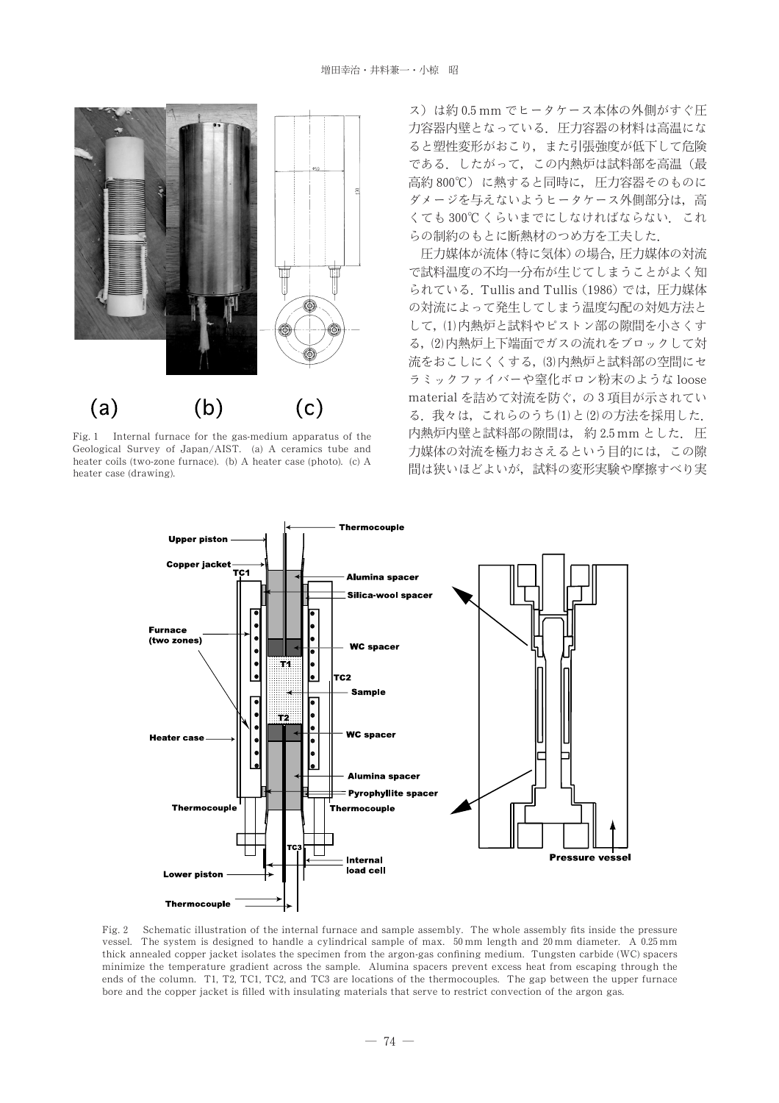

Fig. 1 Internal furnace for the gas-medium apparatus of the Geological Survey of Japan/AIST. (a) A ceramics tube and heater coils (two-zone furnace). (b) A heater case (photo). (c) A heater case (drawing).

ス)は約0.5mm でヒータケース本体の外側がすぐ圧 力容器内壁となっている。圧力容器の材料は高温にな ると塑性変形がおこり、また引張強度が低下して危険 である。したがって、この内熱炉は試料部を高温(最 高約 800℃)に熱すると同時に、圧力容器そのものに ダメージを与えないようヒータケース外側部分は、高 くても300℃くらいまでにしなければならない。これ らの制約のもとに断熱材のつめ方を工夫した.

圧力媒体が流体 (特に気体) の場合, 圧力媒体の対流 で試料温度の不均一分布が生じてしまうことがよく知 られている. Tullis and Tullis (1986) では、圧力媒体 の対流によって発生してしまう温度勾配の対処方法と して、(1)内熱炉と試料やピストン部の隙間を小さくす る、(2)内熱炉上下端面でガスの流れをブロックして対 流をおこしにくくする, (3)内熱炉と試料部の空間にセ ラミックファイバーや窒化ボロン粉末のような loose material を詰めて対流を防ぐ、の3項目が示されてい る. 我々は、これらのうち(1)と(2)の方法を採用した. 内熱炉内壁と試料部の隙間は、約2.5mm とした. 圧 力媒体の対流を極力おさえるという目的には、この隙 間は狭いほどよいが、試料の変形実験や摩擦すべり実



Fig. 2 Schematic illustration of the internal furnace and sample assembly. The whole assembly fits inside the pressure vessel. The system is designed to handle a cylindrical sample of max.  $50 \text{ mm}$  length and  $20 \text{ mm}$  diameter. A  $0.25 \text{ mm}$ thick annealed copper jacket isolates the specimen from the argon-gas confining medium. Tungsten carbide (WC) spacers minimize the temperature gradient across the sample. Alumina spacers prevent excess heat from escaping through the ends of the column. T1, T2, TC1, TC2, and TC3 are locations of the thermocouples. The gap between the upper furnace bore and the copper jacket is filled with insulating materials that serve to restrict convection of the argon gas.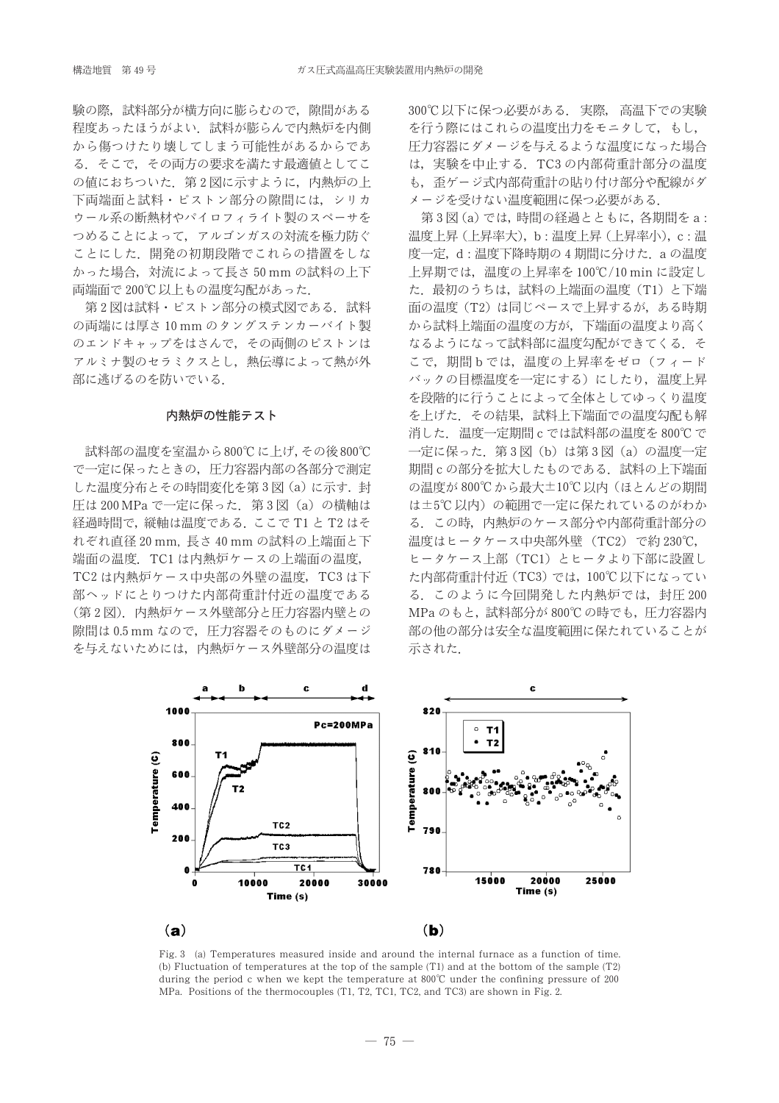験の際、試料部分が構方向に膨らむので、隙間がある 程度あったほうがよい、試料が膨らんで内熱炉を内側 から傷つけたり壊してしまう可能性があるからであ る。そこで、その両方の要求を満たす最適値としてこ の値におちついた。第2図に示すように、内熱炉の上 下両端面と試料・ピストン部分の隙間には、シリカ ウール系の断熱材やパイロフィライト製のスペーサを つめることによって、アルゴンガスの対流を極力防ぐ ことにした、開発の初期段階でこれらの措置をしな かった場合,対流によって長さ50mmの試料の上下 両端面で200℃以上もの温度勾配があった.

第2図は試料・ピストン部分の模式図である. 試料 の両端には厚さ 10 mm のタングステンカーバイト製 のエンドキャップをはさんで、その両側のピストンは アルミナ製のセラミクスとし、熱伝導によって熱が外 部に逃げるのを防いでいる.

### 内熱炉の性能テスト

試料部の温度を室温から800℃に上げ、その後800℃ で一定に保ったときの、圧力容器内部の各部分で測定 した温度分布とその時間変化を第3図(a)に示す. 封 圧は 200 MPa で一定に保った. 第3図 (a) の横軸は 経過時間で、縦軸は温度である。ここで T1 と T2 はそ れぞれ直径 20 mm, 長さ 40 mm の試料の上端面と下 端面の温度. TC1 は内熱炉ケースの上端面の温度, TC2 は内熱炉ケース中央部の外壁の温度, TC3 は下 部ヘッドにとりつけた内部荷重計付近の温度である (第2図). 内熱炉ケース外壁部分と圧力容器内壁との 隙間は 0.5 mm なので、圧力容器そのものにダメージ を与えないためには、内熱炉ケース外壁部分の温度は 300℃以下に保つ必要がある。実際、高温下での実験 を行う際にはこれらの温度出力をモニタして、もし、 圧力容器にダメージを与えるような温度になった場合 は、実験を中止する. TC3の内部荷重計部分の温度 も、歪ゲージ式内部荷重計の貼り付け部分や配線がダ メージを受けない温度範囲に保つ必要がある.

第3図(a)では,時間の経過とともに,各期間をa: 温度上昇(上昇率大), b: 温度上昇(上昇率小), c: 温 度一定. d: 温度下降時期の 4期間に分けた. a の温度 上昇期では、温度の上昇率を100℃/10 min に設定し た. 最初のうちは、試料の上端面の温度 (T1) と下端 面の温度 (T2) は同じペースで上昇するが、ある時期 から試料上端面の温度の方が、下端面の温度より高く なるようになって試料部に温度勾配ができてくる。そ こで、期間bでは、温度の上昇率をゼロ(フィード バックの目標温度を一定にする)にしたり、温度上昇 を段階的に行うことによって全体としてゆっくり温度 を上げた、その結果、試料上下端面での温度勾配も解 消した. 温度一定期間 c では試料部の温度を800℃で 一定に保った. 第3図 (b) は第3図 (a) の温度一定 期間cの部分を拡大したものである。試料の上下端面 の温度が800℃から最大±10℃以内(ほとんどの期間 は±5℃以内)の範囲で一定に保たれているのがわか る。この時、内熱炉のケース部分や内部荷重計部分の 温度はヒータケース中央部外壁 (TC2) で約 230℃, ヒータケース上部 (TC1) とヒータより下部に設置し た内部荷重計付近 (TC3) では, 100℃以下になってい る。このように今回開発した内熱炉では、封圧200 MPaのもと、試料部分が800℃の時でも、圧力容器内 部の他の部分は安全な温度範囲に保たれていることが 示された.



Fig. 3 (a) Temperatures measured inside and around the internal furnace as a function of time. (b) Fluctuation of temperatures at the top of the sample (T1) and at the bottom of the sample (T2) during the period c when we kept the temperature at 800°C under the confining pressure of 200 MPa. Positions of the thermocouples (T1, T2, TC1, TC2, and TC3) are shown in Fig. 2.